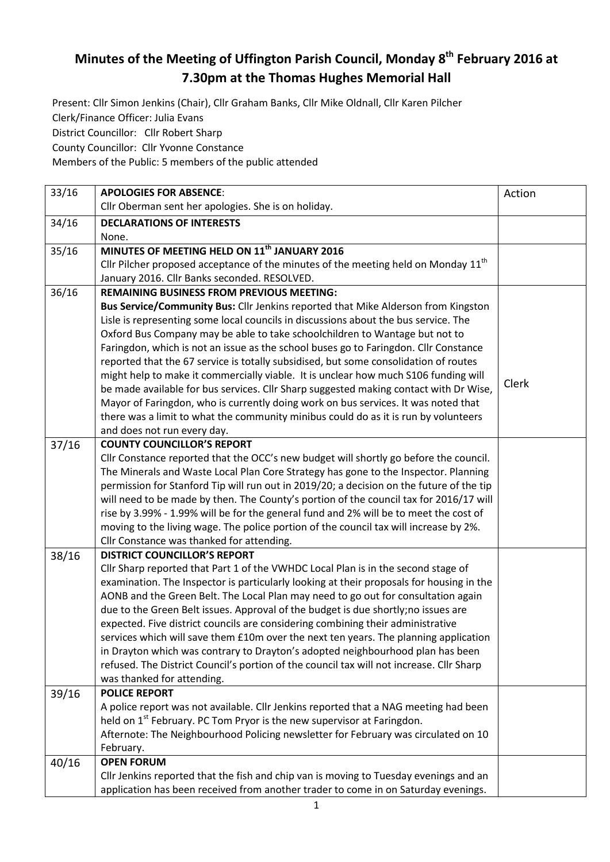## **Minutes of the Meeting of Uffington Parish Council, Monday 8 th February 2016 at 7.30pm at the Thomas Hughes Memorial Hall**

Present: Cllr Simon Jenkins (Chair), Cllr Graham Banks, Cllr Mike Oldnall, Cllr Karen Pilcher Clerk/Finance Officer: Julia Evans District Councillor: Cllr Robert Sharp

County Councillor: Cllr Yvonne Constance

Members of the Public: 5 members of the public attended

| 33/16 | <b>APOLOGIES FOR ABSENCE:</b>                                                                  | Action |
|-------|------------------------------------------------------------------------------------------------|--------|
|       | Cllr Oberman sent her apologies. She is on holiday.                                            |        |
| 34/16 | <b>DECLARATIONS OF INTERESTS</b>                                                               |        |
|       | None.                                                                                          |        |
| 35/16 | MINUTES OF MEETING HELD ON 11 <sup>th</sup> JANUARY 2016                                       |        |
|       | Cllr Pilcher proposed acceptance of the minutes of the meeting held on Monday 11 <sup>th</sup> |        |
|       | January 2016. Cllr Banks seconded. RESOLVED.                                                   |        |
| 36/16 | <b>REMAINING BUSINESS FROM PREVIOUS MEETING:</b>                                               |        |
|       | Bus Service/Community Bus: Cllr Jenkins reported that Mike Alderson from Kingston              |        |
|       | Lisle is representing some local councils in discussions about the bus service. The            |        |
|       | Oxford Bus Company may be able to take schoolchildren to Wantage but not to                    |        |
|       | Faringdon, which is not an issue as the school buses go to Faringdon. Cllr Constance           |        |
|       | reported that the 67 service is totally subsidised, but some consolidation of routes           |        |
|       | might help to make it commercially viable. It is unclear how much S106 funding will            |        |
|       | be made available for bus services. Cllr Sharp suggested making contact with Dr Wise,          | Clerk  |
|       | Mayor of Faringdon, who is currently doing work on bus services. It was noted that             |        |
|       | there was a limit to what the community minibus could do as it is run by volunteers            |        |
|       | and does not run every day.                                                                    |        |
| 37/16 | <b>COUNTY COUNCILLOR'S REPORT</b>                                                              |        |
|       | Cllr Constance reported that the OCC's new budget will shortly go before the council.          |        |
|       | The Minerals and Waste Local Plan Core Strategy has gone to the Inspector. Planning            |        |
|       | permission for Stanford Tip will run out in 2019/20; a decision on the future of the tip       |        |
|       | will need to be made by then. The County's portion of the council tax for 2016/17 will         |        |
|       | rise by 3.99% - 1.99% will be for the general fund and 2% will be to meet the cost of          |        |
|       | moving to the living wage. The police portion of the council tax will increase by 2%.          |        |
|       | Cllr Constance was thanked for attending.                                                      |        |
| 38/16 | <b>DISTRICT COUNCILLOR'S REPORT</b>                                                            |        |
|       | Cllr Sharp reported that Part 1 of the VWHDC Local Plan is in the second stage of              |        |
|       | examination. The Inspector is particularly looking at their proposals for housing in the       |        |
|       | AONB and the Green Belt. The Local Plan may need to go out for consultation again              |        |
|       | due to the Green Belt issues. Approval of the budget is due shortly;no issues are              |        |
|       | expected. Five district councils are considering combining their administrative                |        |
|       | services which will save them £10m over the next ten years. The planning application           |        |
|       | in Drayton which was contrary to Drayton's adopted neighbourhood plan has been                 |        |
|       | refused. The District Council's portion of the council tax will not increase. Cllr Sharp       |        |
|       | was thanked for attending.                                                                     |        |
| 39/16 | <b>POLICE REPORT</b>                                                                           |        |
|       | A police report was not available. Cllr Jenkins reported that a NAG meeting had been           |        |
|       | held on 1 <sup>st</sup> February. PC Tom Pryor is the new supervisor at Faringdon.             |        |
|       | Afternote: The Neighbourhood Policing newsletter for February was circulated on 10             |        |
|       | February.                                                                                      |        |
| 40/16 | <b>OPEN FORUM</b>                                                                              |        |
|       | Cllr Jenkins reported that the fish and chip van is moving to Tuesday evenings and an          |        |
|       | application has been received from another trader to come in on Saturday evenings.             |        |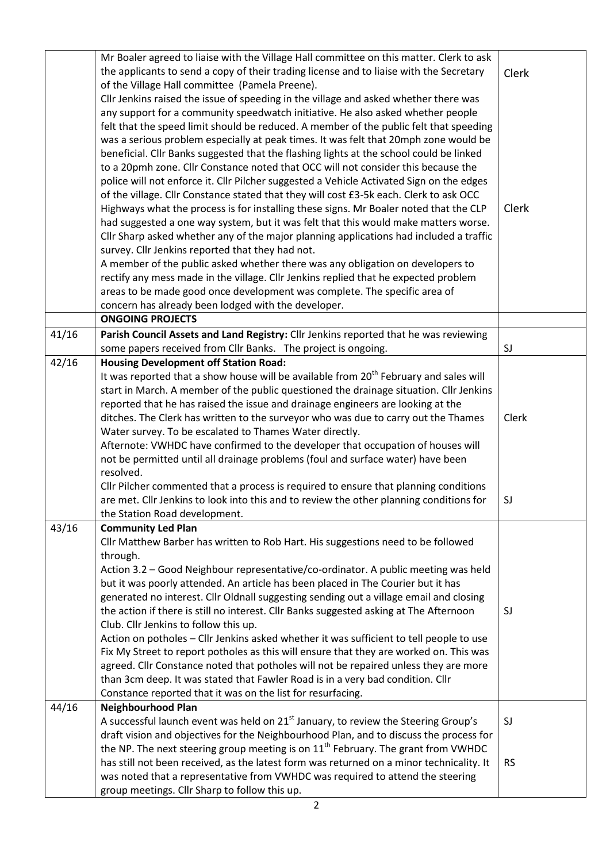|       | Mr Boaler agreed to liaise with the Village Hall committee on this matter. Clerk to ask<br>the applicants to send a copy of their trading license and to liaise with the Secretary |              |
|-------|------------------------------------------------------------------------------------------------------------------------------------------------------------------------------------|--------------|
|       |                                                                                                                                                                                    | <b>Clerk</b> |
|       | of the Village Hall committee (Pamela Preene).                                                                                                                                     |              |
|       | Cllr Jenkins raised the issue of speeding in the village and asked whether there was                                                                                               |              |
|       | any support for a community speedwatch initiative. He also asked whether people<br>felt that the speed limit should be reduced. A member of the public felt that speeding          |              |
|       |                                                                                                                                                                                    |              |
|       | was a serious problem especially at peak times. It was felt that 20mph zone would be                                                                                               |              |
|       | beneficial. Cllr Banks suggested that the flashing lights at the school could be linked<br>to a 20pmh zone. Cllr Constance noted that OCC will not consider this because the       |              |
|       | police will not enforce it. Cllr Pilcher suggested a Vehicle Activated Sign on the edges                                                                                           |              |
|       |                                                                                                                                                                                    |              |
|       | of the village. Cllr Constance stated that they will cost £3-5k each. Clerk to ask OCC                                                                                             | Clerk        |
|       | Highways what the process is for installing these signs. Mr Boaler noted that the CLP                                                                                              |              |
|       | had suggested a one way system, but it was felt that this would make matters worse.                                                                                                |              |
|       | Cllr Sharp asked whether any of the major planning applications had included a traffic                                                                                             |              |
|       | survey. Cllr Jenkins reported that they had not.                                                                                                                                   |              |
|       | A member of the public asked whether there was any obligation on developers to                                                                                                     |              |
|       | rectify any mess made in the village. Cllr Jenkins replied that he expected problem                                                                                                |              |
|       | areas to be made good once development was complete. The specific area of                                                                                                          |              |
|       | concern has already been lodged with the developer.                                                                                                                                |              |
|       | <b>ONGOING PROJECTS</b>                                                                                                                                                            |              |
| 41/16 | Parish Council Assets and Land Registry: Cllr Jenkins reported that he was reviewing                                                                                               |              |
|       | some papers received from Cllr Banks. The project is ongoing.                                                                                                                      | SJ           |
| 42/16 | <b>Housing Development off Station Road:</b>                                                                                                                                       |              |
|       | It was reported that a show house will be available from 20 <sup>th</sup> February and sales will                                                                                  |              |
|       | start in March. A member of the public questioned the drainage situation. Cllr Jenkins                                                                                             |              |
|       | reported that he has raised the issue and drainage engineers are looking at the                                                                                                    |              |
|       | ditches. The Clerk has written to the surveyor who was due to carry out the Thames                                                                                                 | Clerk        |
|       | Water survey. To be escalated to Thames Water directly.                                                                                                                            |              |
|       | Afternote: VWHDC have confirmed to the developer that occupation of houses will                                                                                                    |              |
|       | not be permitted until all drainage problems (foul and surface water) have been                                                                                                    |              |
|       | resolved.                                                                                                                                                                          |              |
|       | Cllr Pilcher commented that a process is required to ensure that planning conditions                                                                                               |              |
|       | are met. Cllr Jenkins to look into this and to review the other planning conditions for                                                                                            | SJ           |
|       | the Station Road development.                                                                                                                                                      |              |
| 43/16 | <b>Community Led Plan</b>                                                                                                                                                          |              |
|       | Cllr Matthew Barber has written to Rob Hart. His suggestions need to be followed                                                                                                   |              |
|       | through.                                                                                                                                                                           |              |
|       | Action 3.2 - Good Neighbour representative/co-ordinator. A public meeting was held                                                                                                 |              |
|       | but it was poorly attended. An article has been placed in The Courier but it has                                                                                                   |              |
|       | generated no interest. Cllr Oldnall suggesting sending out a village email and closing                                                                                             |              |
|       | the action if there is still no interest. Cllr Banks suggested asking at The Afternoon                                                                                             | SJ           |
|       | Club. Cllr Jenkins to follow this up.                                                                                                                                              |              |
|       | Action on potholes - Cllr Jenkins asked whether it was sufficient to tell people to use                                                                                            |              |
|       | Fix My Street to report potholes as this will ensure that they are worked on. This was                                                                                             |              |
|       | agreed. Cllr Constance noted that potholes will not be repaired unless they are more                                                                                               |              |
|       | than 3cm deep. It was stated that Fawler Road is in a very bad condition. Cllr                                                                                                     |              |
|       | Constance reported that it was on the list for resurfacing.                                                                                                                        |              |
| 44/16 | <b>Neighbourhood Plan</b>                                                                                                                                                          |              |
|       | A successful launch event was held on 21 <sup>st</sup> January, to review the Steering Group's                                                                                     | SJ           |
|       | draft vision and objectives for the Neighbourhood Plan, and to discuss the process for                                                                                             |              |
|       | the NP. The next steering group meeting is on $11th$ February. The grant from VWHDC                                                                                                |              |
|       | has still not been received, as the latest form was returned on a minor technicality. It                                                                                           | <b>RS</b>    |
|       | was noted that a representative from VWHDC was required to attend the steering                                                                                                     |              |
|       | group meetings. Cllr Sharp to follow this up.                                                                                                                                      |              |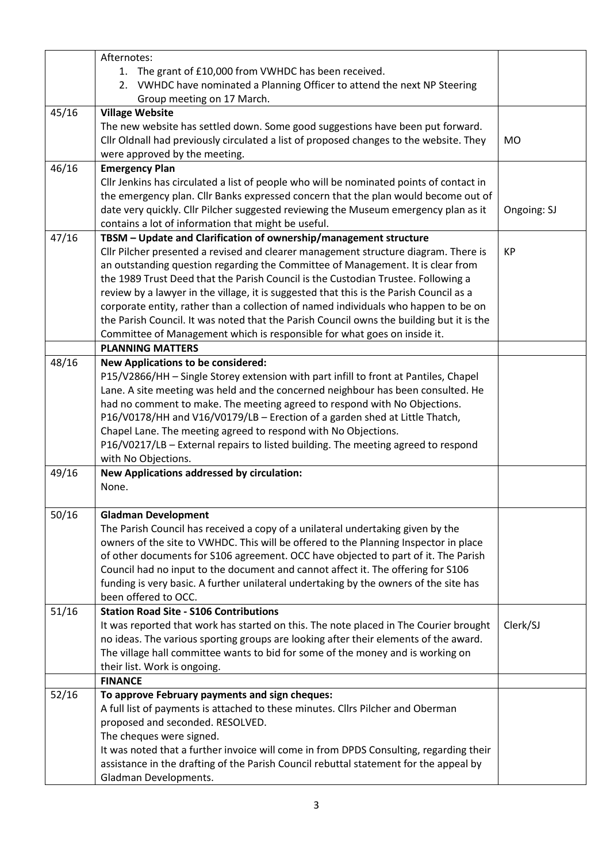|       | Afternotes:                                                                              |             |
|-------|------------------------------------------------------------------------------------------|-------------|
|       | 1. The grant of £10,000 from VWHDC has been received.                                    |             |
|       | 2. VWHDC have nominated a Planning Officer to attend the next NP Steering                |             |
|       | Group meeting on 17 March.                                                               |             |
| 45/16 | <b>Village Website</b>                                                                   |             |
|       | The new website has settled down. Some good suggestions have been put forward.           |             |
|       | Cllr Oldnall had previously circulated a list of proposed changes to the website. They   | <b>MO</b>   |
|       | were approved by the meeting.                                                            |             |
| 46/16 | <b>Emergency Plan</b>                                                                    |             |
|       | Cllr Jenkins has circulated a list of people who will be nominated points of contact in  |             |
|       | the emergency plan. Cllr Banks expressed concern that the plan would become out of       |             |
|       | date very quickly. Cllr Pilcher suggested reviewing the Museum emergency plan as it      | Ongoing: SJ |
|       | contains a lot of information that might be useful.                                      |             |
| 47/16 | TBSM - Update and Clarification of ownership/management structure                        |             |
|       | Cllr Pilcher presented a revised and clearer management structure diagram. There is      | <b>KP</b>   |
|       | an outstanding question regarding the Committee of Management. It is clear from          |             |
|       | the 1989 Trust Deed that the Parish Council is the Custodian Trustee. Following a        |             |
|       | review by a lawyer in the village, it is suggested that this is the Parish Council as a  |             |
|       | corporate entity, rather than a collection of named individuals who happen to be on      |             |
|       | the Parish Council. It was noted that the Parish Council owns the building but it is the |             |
|       | Committee of Management which is responsible for what goes on inside it.                 |             |
|       | <b>PLANNING MATTERS</b>                                                                  |             |
| 48/16 | <b>New Applications to be considered:</b>                                                |             |
|       | P15/V2866/HH - Single Storey extension with part infill to front at Pantiles, Chapel     |             |
|       | Lane. A site meeting was held and the concerned neighbour has been consulted. He         |             |
|       | had no comment to make. The meeting agreed to respond with No Objections.                |             |
|       | P16/V0178/HH and V16/V0179/LB - Erection of a garden shed at Little Thatch,              |             |
|       | Chapel Lane. The meeting agreed to respond with No Objections.                           |             |
|       | P16/V0217/LB - External repairs to listed building. The meeting agreed to respond        |             |
|       | with No Objections.                                                                      |             |
| 49/16 | <b>New Applications addressed by circulation:</b>                                        |             |
|       | None.                                                                                    |             |
|       |                                                                                          |             |
| 50/16 | <b>Gladman Development</b>                                                               |             |
|       | The Parish Council has received a copy of a unilateral undertaking given by the          |             |
|       | owners of the site to VWHDC. This will be offered to the Planning Inspector in place     |             |
|       | of other documents for S106 agreement. OCC have objected to part of it. The Parish       |             |
|       | Council had no input to the document and cannot affect it. The offering for S106         |             |
|       | funding is very basic. A further unilateral undertaking by the owners of the site has    |             |
|       | been offered to OCC.                                                                     |             |
| 51/16 | <b>Station Road Site - S106 Contributions</b>                                            |             |
|       | It was reported that work has started on this. The note placed in The Courier brought    | Clerk/SJ    |
|       | no ideas. The various sporting groups are looking after their elements of the award.     |             |
|       | The village hall committee wants to bid for some of the money and is working on          |             |
|       | their list. Work is ongoing.                                                             |             |
|       | <b>FINANCE</b>                                                                           |             |
| 52/16 | To approve February payments and sign cheques:                                           |             |
|       | A full list of payments is attached to these minutes. Cllrs Pilcher and Oberman          |             |
|       | proposed and seconded. RESOLVED.                                                         |             |
|       | The cheques were signed.                                                                 |             |
|       | It was noted that a further invoice will come in from DPDS Consulting, regarding their   |             |
|       | assistance in the drafting of the Parish Council rebuttal statement for the appeal by    |             |
|       | Gladman Developments.                                                                    |             |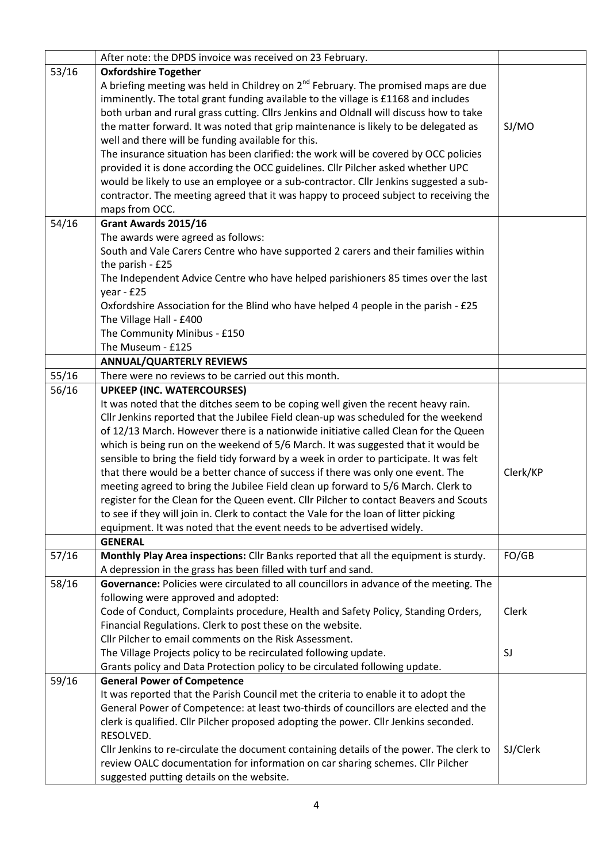|       | After note: the DPDS invoice was received on 23 February.                               |          |
|-------|-----------------------------------------------------------------------------------------|----------|
| 53/16 | <b>Oxfordshire Together</b>                                                             |          |
|       | A briefing meeting was held in Childrey on $2^{nd}$ February. The promised maps are due |          |
|       | imminently. The total grant funding available to the village is £1168 and includes      |          |
|       | both urban and rural grass cutting. Cllrs Jenkins and Oldnall will discuss how to take  |          |
|       | the matter forward. It was noted that grip maintenance is likely to be delegated as     | SJ/MO    |
|       | well and there will be funding available for this.                                      |          |
|       | The insurance situation has been clarified: the work will be covered by OCC policies    |          |
|       | provided it is done according the OCC guidelines. Cllr Pilcher asked whether UPC        |          |
|       | would be likely to use an employee or a sub-contractor. Cllr Jenkins suggested a sub-   |          |
|       | contractor. The meeting agreed that it was happy to proceed subject to receiving the    |          |
|       | maps from OCC.                                                                          |          |
| 54/16 | Grant Awards 2015/16                                                                    |          |
|       | The awards were agreed as follows:                                                      |          |
|       | South and Vale Carers Centre who have supported 2 carers and their families within      |          |
|       | the parish - £25                                                                        |          |
|       | The Independent Advice Centre who have helped parishioners 85 times over the last       |          |
|       | year - £25                                                                              |          |
|       | Oxfordshire Association for the Blind who have helped 4 people in the parish - £25      |          |
|       | The Village Hall - £400                                                                 |          |
|       | The Community Minibus - £150                                                            |          |
|       | The Museum - £125                                                                       |          |
|       | <b>ANNUAL/QUARTERLY REVIEWS</b>                                                         |          |
| 55/16 | There were no reviews to be carried out this month.                                     |          |
| 56/16 | <b>UPKEEP (INC. WATERCOURSES)</b>                                                       |          |
|       | It was noted that the ditches seem to be coping well given the recent heavy rain.       |          |
|       | Cllr Jenkins reported that the Jubilee Field clean-up was scheduled for the weekend     |          |
|       | of 12/13 March. However there is a nationwide initiative called Clean for the Queen     |          |
|       | which is being run on the weekend of 5/6 March. It was suggested that it would be       |          |
|       | sensible to bring the field tidy forward by a week in order to participate. It was felt |          |
|       | that there would be a better chance of success if there was only one event. The         | Clerk/KP |
|       | meeting agreed to bring the Jubilee Field clean up forward to 5/6 March. Clerk to       |          |
|       | register for the Clean for the Queen event. Cllr Pilcher to contact Beavers and Scouts  |          |
|       | to see if they will join in. Clerk to contact the Vale for the loan of litter picking   |          |
|       | equipment. It was noted that the event needs to be advertised widely.                   |          |
|       | <b>GENERAL</b>                                                                          |          |
| 57/16 | Monthly Play Area inspections: Cllr Banks reported that all the equipment is sturdy.    | FO/GB    |
|       | A depression in the grass has been filled with turf and sand.                           |          |
| 58/16 | Governance: Policies were circulated to all councillors in advance of the meeting. The  |          |
|       | following were approved and adopted:                                                    |          |
|       | Code of Conduct, Complaints procedure, Health and Safety Policy, Standing Orders,       | Clerk    |
|       | Financial Regulations. Clerk to post these on the website.                              |          |
|       | Cllr Pilcher to email comments on the Risk Assessment.                                  |          |
|       | The Village Projects policy to be recirculated following update.                        | SJ       |
|       | Grants policy and Data Protection policy to be circulated following update.             |          |
| 59/16 | <b>General Power of Competence</b>                                                      |          |
|       | It was reported that the Parish Council met the criteria to enable it to adopt the      |          |
|       | General Power of Competence: at least two-thirds of councillors are elected and the     |          |
|       | clerk is qualified. Cllr Pilcher proposed adopting the power. Cllr Jenkins seconded.    |          |
|       | RESOLVED.                                                                               |          |
|       | Cllr Jenkins to re-circulate the document containing details of the power. The clerk to | SJ/Clerk |
|       | review OALC documentation for information on car sharing schemes. Cllr Pilcher          |          |
|       | suggested putting details on the website.                                               |          |